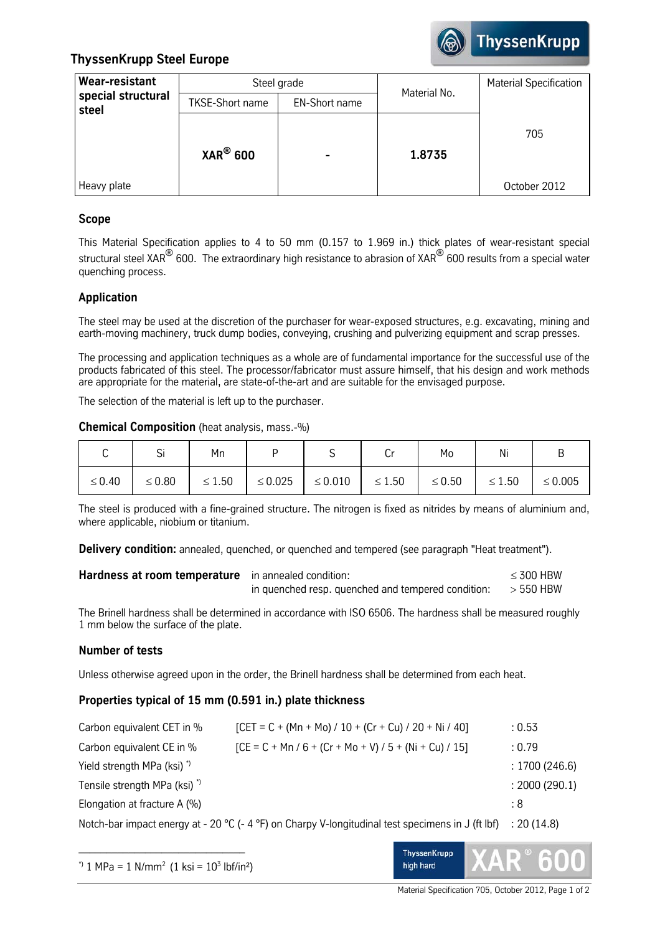

# **ThyssenKrupp Steel Europe**

| Wear-resistant              |                        | Steel grade          | Material No. | <b>Material Specification</b> |
|-----------------------------|------------------------|----------------------|--------------|-------------------------------|
| special structural<br>steel | <b>TKSE-Short name</b> | <b>EN-Short name</b> |              |                               |
| Heavy plate                 | $XAR^{\circledR}$ 600  |                      | 1.8735       | 705<br>October 2012           |

# **Scope**

This Material Specification applies to 4 to 50 mm (0.157 to 1.969 in.) thick plates of wear-resistant special structural steel XAR<sup>®</sup> 600. The extraordinary high resistance to abrasion of XAR<sup>®</sup> 600 results from a special water quenching process.

# **Application**

The steel may be used at the discretion of the purchaser for wear-exposed structures, e.g. excavating, mining and earth-moving machinery, truck dump bodies, conveying, crushing and pulverizing equipment and scrap presses.

The processing and application techniques as a whole are of fundamental importance for the successful use of the products fabricated of this steel. The processor/fabricator must assure himself, that his design and work methods are appropriate for the material, are state-of-the-art and are suitable for the envisaged purpose.

The selection of the material is left up to the purchaser.

#### **Chemical Composition** (heat analysis, mass.-%)

|             | r:<br>эı    | Mn          |              | ັ            | U           | Mo          | Ni          | ь            |
|-------------|-------------|-------------|--------------|--------------|-------------|-------------|-------------|--------------|
| $\leq 0.40$ | $\leq 0.80$ | $\leq 1.50$ | $\leq 0.025$ | $\leq 0.010$ | $\leq 1.50$ | $\leq 0.50$ | $\leq 1.50$ | $\leq 0.005$ |

The steel is produced with a fine-grained structure. The nitrogen is fixed as nitrides by means of aluminium and, where applicable, niobium or titanium.

**Delivery condition:** annealed, quenched, or quenched and tempered (see paragraph "Heat treatment").

| Hardness at room temperature in annealed condition: |                                                                | $\leq$ 300 HBW |
|-----------------------------------------------------|----------------------------------------------------------------|----------------|
|                                                     | in quenched resp. quenched and tempered condition: $>$ 550 HBW |                |

The Brinell hardness shall be determined in accordance with ISO 6506. The hardness shall be measured roughly 1 mm below the surface of the plate.

# **Number of tests**

Unless otherwise agreed upon in the order, the Brinell hardness shall be determined from each heat.

# **Properties typical of 15 mm (0.591 in.) plate thickness**

| Carbon equivalent CET in %              | $[CET = C + (Mn + Mo) / 10 + (Cr + Cu) / 20 + Ni / 40]$                                                       | : 0.53        |
|-----------------------------------------|---------------------------------------------------------------------------------------------------------------|---------------|
| Carbon equivalent CE in %               | $[CE = C + Mn / 6 + (Cr + Mo + V) / 5 + (Ni + Cu) / 15]$                                                      | : 0.79        |
| Yield strength MPa (ksi) <sup>*</sup>   |                                                                                                               | : 1700(246.6) |
| Tensile strength MPa (ksi) <sup>*</sup> |                                                                                                               | : 2000(290.1) |
| Elongation at fracture A $(\%)$         |                                                                                                               | : 8           |
|                                         | Notch barimpact operay at $20\%$ ( $\Lambda$ $\infty$ ) on Charny V longitudinal tect enocimens in $1/f$ lift | .201118       |

Notch-bar impact energy at - 20 °C (- 4 °F) on Charpy V-longitudinal test specimens in J (ft lbf) : 20 (14.8)



Material Specification 705, October 2012, Page 1 of 2

**ThyssenKrupp** high hard